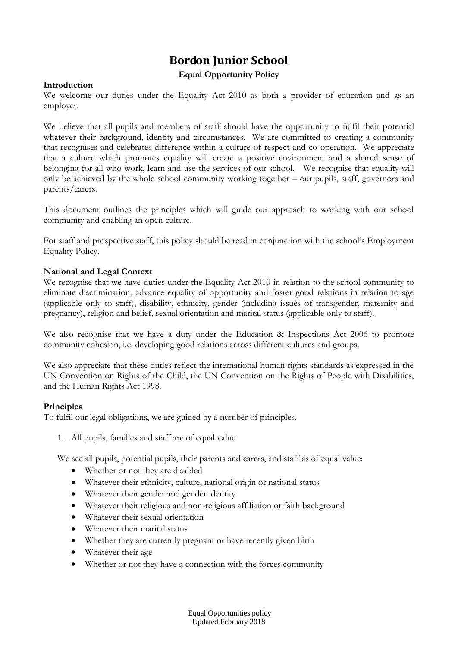# **Bordon Junior School**

## **Equal Opportunity Policy**

## **Introduction**

We welcome our duties under the Equality Act 2010 as both a provider of education and as an employer.

We believe that all pupils and members of staff should have the opportunity to fulfil their potential whatever their background, identity and circumstances. We are committed to creating a community that recognises and celebrates difference within a culture of respect and co-operation. We appreciate that a culture which promotes equality will create a positive environment and a shared sense of belonging for all who work, learn and use the services of our school. We recognise that equality will only be achieved by the whole school community working together – our pupils, staff, governors and parents/carers.

This document outlines the principles which will guide our approach to working with our school community and enabling an open culture.

For staff and prospective staff, this policy should be read in conjunction with the school's Employment Equality Policy.

### **National and Legal Context**

We recognise that we have duties under the Equality Act 2010 in relation to the school community to eliminate discrimination, advance equality of opportunity and foster good relations in relation to age (applicable only to staff), disability, ethnicity, gender (including issues of transgender, maternity and pregnancy), religion and belief, sexual orientation and marital status (applicable only to staff).

We also recognise that we have a duty under the Education & Inspections Act 2006 to promote community cohesion, i.e. developing good relations across different cultures and groups.

We also appreciate that these duties reflect the international human rights standards as expressed in the UN Convention on Rights of the Child, the UN Convention on the Rights of People with Disabilities, and the Human Rights Act 1998.

#### **Principles**

To fulfil our legal obligations, we are guided by a number of principles.

1. All pupils, families and staff are of equal value

We see all pupils, potential pupils, their parents and carers, and staff as of equal value:

- Whether or not they are disabled
- Whatever their ethnicity, culture, national origin or national status
- Whatever their gender and gender identity
- Whatever their religious and non-religious affiliation or faith background
- Whatever their sexual orientation
- Whatever their marital status
- Whether they are currently pregnant or have recently given birth
- Whatever their age
- Whether or not they have a connection with the forces community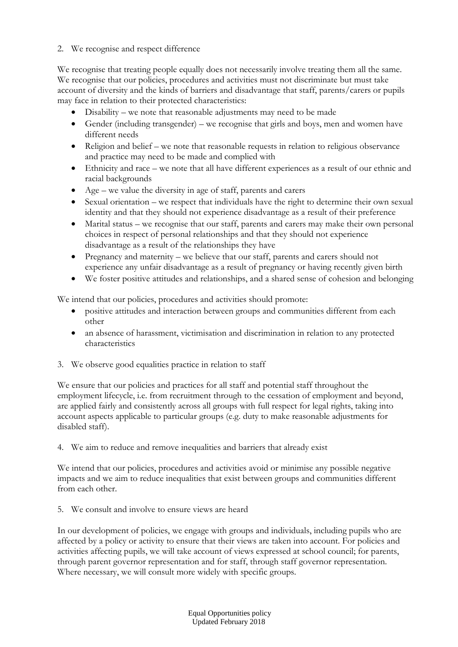# 2. We recognise and respect difference

We recognise that treating people equally does not necessarily involve treating them all the same. We recognise that our policies, procedures and activities must not discriminate but must take account of diversity and the kinds of barriers and disadvantage that staff, parents/carers or pupils may face in relation to their protected characteristics:

- Disability we note that reasonable adjustments may need to be made
- Gender (including transgender) we recognise that girls and boys, men and women have different needs
- Religion and belief we note that reasonable requests in relation to religious observance and practice may need to be made and complied with
- Ethnicity and race we note that all have different experiences as a result of our ethnic and racial backgrounds
- Age we value the diversity in age of staff, parents and carers
- Sexual orientation we respect that individuals have the right to determine their own sexual identity and that they should not experience disadvantage as a result of their preference
- Marital status we recognise that our staff, parents and carers may make their own personal choices in respect of personal relationships and that they should not experience disadvantage as a result of the relationships they have
- Pregnancy and maternity we believe that our staff, parents and carers should not experience any unfair disadvantage as a result of pregnancy or having recently given birth
- We foster positive attitudes and relationships, and a shared sense of cohesion and belonging

We intend that our policies, procedures and activities should promote:

- positive attitudes and interaction between groups and communities different from each other
- an absence of harassment, victimisation and discrimination in relation to any protected characteristics
- 3. We observe good equalities practice in relation to staff

We ensure that our policies and practices for all staff and potential staff throughout the employment lifecycle, i.e. from recruitment through to the cessation of employment and beyond, are applied fairly and consistently across all groups with full respect for legal rights, taking into account aspects applicable to particular groups (e.g. duty to make reasonable adjustments for disabled staff).

4. We aim to reduce and remove inequalities and barriers that already exist

We intend that our policies, procedures and activities avoid or minimise any possible negative impacts and we aim to reduce inequalities that exist between groups and communities different from each other.

5. We consult and involve to ensure views are heard

In our development of policies, we engage with groups and individuals, including pupils who are affected by a policy or activity to ensure that their views are taken into account. For policies and activities affecting pupils, we will take account of views expressed at school council; for parents, through parent governor representation and for staff, through staff governor representation. Where necessary, we will consult more widely with specific groups.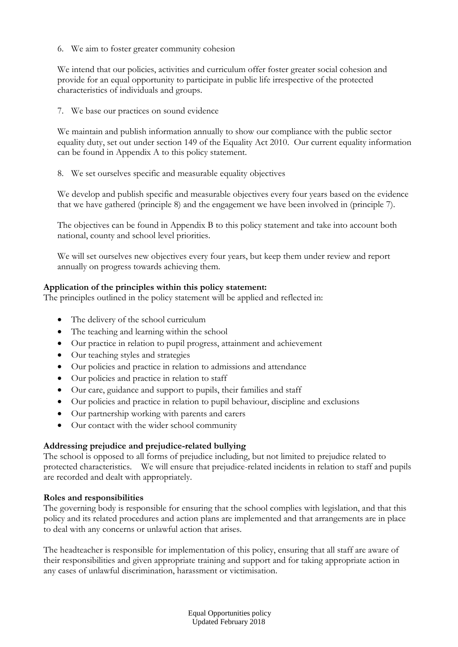6. We aim to foster greater community cohesion

We intend that our policies, activities and curriculum offer foster greater social cohesion and provide for an equal opportunity to participate in public life irrespective of the protected characteristics of individuals and groups.

7. We base our practices on sound evidence

We maintain and publish information annually to show our compliance with the public sector equality duty, set out under section 149 of the Equality Act 2010. Our current equality information can be found in Appendix A to this policy statement.

8. We set ourselves specific and measurable equality objectives

We develop and publish specific and measurable objectives every four years based on the evidence that we have gathered (principle 8) and the engagement we have been involved in (principle 7).

The objectives can be found in Appendix B to this policy statement and take into account both national, county and school level priorities.

We will set ourselves new objectives every four years, but keep them under review and report annually on progress towards achieving them.

# **Application of the principles within this policy statement:**

The principles outlined in the policy statement will be applied and reflected in:

- The delivery of the school curriculum
- The teaching and learning within the school
- Our practice in relation to pupil progress, attainment and achievement
- Our teaching styles and strategies
- Our policies and practice in relation to admissions and attendance
- Our policies and practice in relation to staff
- Our care, guidance and support to pupils, their families and staff
- Our policies and practice in relation to pupil behaviour, discipline and exclusions
- Our partnership working with parents and carers
- Our contact with the wider school community

# **Addressing prejudice and prejudice-related bullying**

The school is opposed to all forms of prejudice including, but not limited to prejudice related to protected characteristics. We will ensure that prejudice-related incidents in relation to staff and pupils are recorded and dealt with appropriately.

## **Roles and responsibilities**

The governing body is responsible for ensuring that the school complies with legislation, and that this policy and its related procedures and action plans are implemented and that arrangements are in place to deal with any concerns or unlawful action that arises.

The headteacher is responsible for implementation of this policy, ensuring that all staff are aware of their responsibilities and given appropriate training and support and for taking appropriate action in any cases of unlawful discrimination, harassment or victimisation.